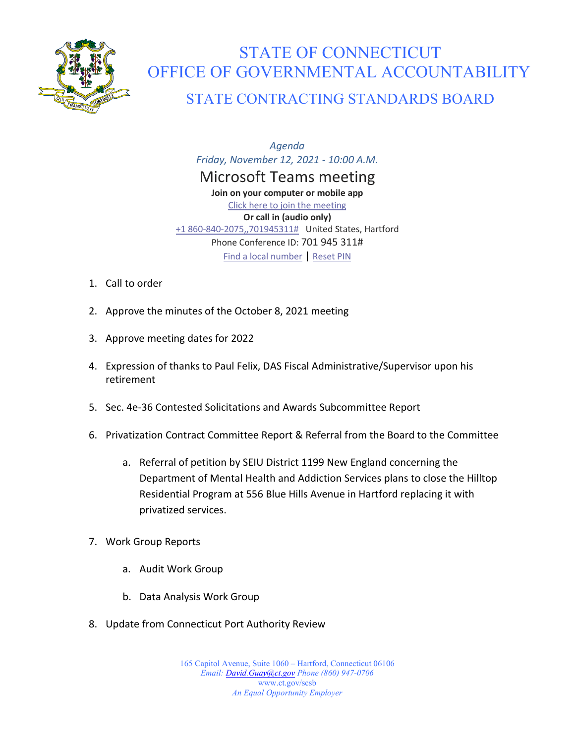

## STATE OF CONNECTICUT OFFICE OF GOVERNMENTAL ACCOUNTABILITY STATE CONTRACTING STANDARDS BOARD

*Agenda Friday, November 12, 2021 - 10:00 A.M.* Microsoft Teams meeting **Join on your computer or mobile app** [Click here to join the meeting](https://teams.microsoft.com/l/meetup-join/19%3af653f8a77394404eaa09d40c673bd322%40thread.tacv2/1630601359959?context=%7b%22Tid%22%3a%22118b7cfa-a3dd-48b9-b026-31ff69bb738b%22%2c%22Oid%22%3a%228648c1f7-691e-4441-9877-887d4976e8bf%22%7d) **Or call in (audio only)** [+1 860-840-2075,,701945311#](tel:+18608402075,,701945311#%20) United States, Hartford Phone Conference ID: 701 945 311# [Find a local number](https://dialin.teams.microsoft.com/d421ee46-7f6f-421b-9afc-aecbacb34cba?id=701945311) | [Reset PIN](https://mysettings.lync.com/pstnconferencing)

- 1. Call to order
- 2. Approve the minutes of the October 8, 2021 meeting
- 3. Approve meeting dates for 2022
- 4. Expression of thanks to Paul Felix, DAS Fiscal Administrative/Supervisor upon his retirement
- 5. Sec. 4e-36 Contested Solicitations and Awards Subcommittee Report
- 6. Privatization Contract Committee Report & Referral from the Board to the Committee
	- a. Referral of petition by SEIU District 1199 New England concerning the Department of Mental Health and Addiction Services plans to close the Hilltop Residential Program at 556 Blue Hills Avenue in Hartford replacing it with privatized services.
- 7. Work Group Reports
	- a. Audit Work Group
	- b. Data Analysis Work Group
- 8. Update from Connecticut Port Authority Review